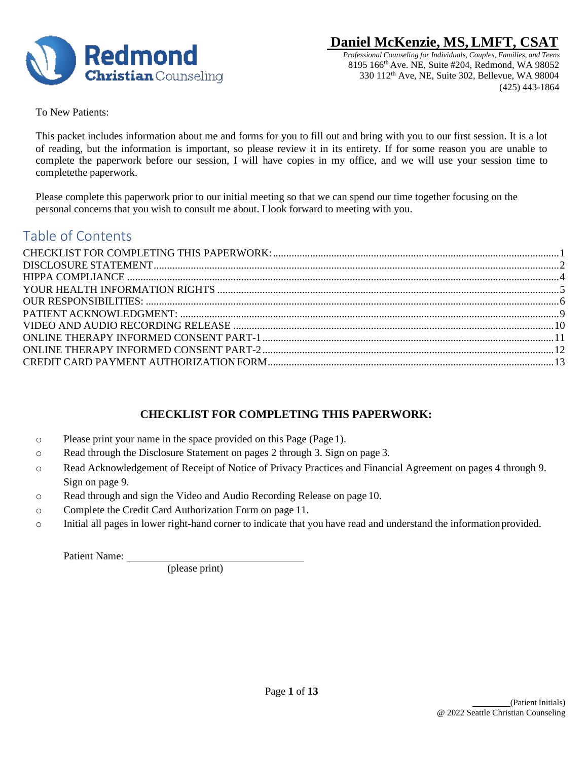

 *Professional Counseling for Individuals, Couples, Families, and Teens* 8195 166th Ave. NE, Suite #204, Redmond, WA 98052 330 112th Ave, NE, Suite 302, Bellevue, WA 98004 (425) 443-1864

To New Patients:

This packet includes information about me and forms for you to fill out and bring with you to our first session. It is a lot of reading, but the information is important, so please review it in its entirety. If for some reason you are unable to complete the paperwork before our session, I will have copies in my office, and we will use your session time to completethe paperwork.

Please complete this paperwork prior to our initial meeting so that we can spend our time together focusing on the personal concerns that you wish to consult me about. I look forward to meeting with you.

## Table of Contents

## **CHECKLIST FOR COMPLETING THIS PAPERWORK:**

- <span id="page-0-0"></span>o Please print your name in the space provided on this Page (Page 1).
- o Read through the Disclosure Statement on pages 2 through 3. Sign on page 3.
- o Read Acknowledgement of Receipt of Notice of Privacy Practices and Financial Agreement on pages 4 through 9. Sign on page 9.
- o Read through and sign the Video and Audio Recording Release on page 10.
- o Complete the Credit Card Authorization Form on page 11.
- o Initial all pages in lower right-hand corner to indicate that you have read and understand the informationprovided.

Patient Name:

(please print)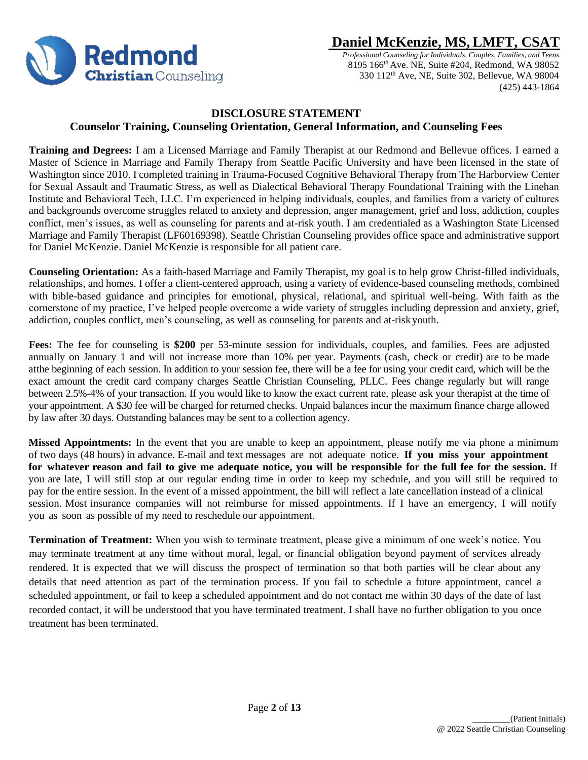

 *Professional Counseling for Individuals, Couples, Families, and Teens* 8195 166th Ave. NE, Suite #204, Redmond, WA 98052 330 112th Ave, NE, Suite 302, Bellevue, WA 98004 (425) 443-1864

### **DISCLOSURE STATEMENT Counselor Training, Counseling Orientation, General Information, and Counseling Fees**

<span id="page-1-0"></span>**Training and Degrees:** I am a Licensed Marriage and Family Therapist at our Redmond and Bellevue offices. I earned a Master of Science in Marriage and Family Therapy from Seattle Pacific University and have been licensed in the state of Washington since 2010. I completed training in Trauma-Focused Cognitive Behavioral Therapy from The Harborview Center for Sexual Assault and Traumatic Stress, as well as Dialectical Behavioral Therapy Foundational Training with the Linehan Institute and Behavioral Tech, LLC. I'm experienced in helping individuals, couples, and families from a variety of cultures and backgrounds overcome struggles related to anxiety and depression, anger management, grief and loss, addiction, couples conflict, men's issues, as well as counseling for parents and at-risk youth. I am credentialed as a Washington State Licensed Marriage and Family Therapist (LF60169398). Seattle Christian Counseling provides office space and administrative support for Daniel McKenzie. Daniel McKenzie is responsible for all patient care.

**Counseling Orientation:** As a faith-based Marriage and Family Therapist, my goal is to help grow Christ-filled individuals, relationships, and homes. I offer a client-centered approach, using a variety of evidence-based counseling methods, combined with bible-based guidance and principles for emotional, physical, relational, and spiritual well-being. With faith as the cornerstone of my practice, I've helped people overcome a wide variety of struggles including depression and anxiety, grief, addiction, couples conflict, men's counseling, as well as counseling for parents and at-riskyouth.

**Fees:** The fee for counseling is **\$200** per 53-minute session for individuals, couples, and families. Fees are adjusted annually on January 1 and will not increase more than 10% per year. Payments (cash, check or credit) are to be made atthe beginning of each session. In addition to your session fee, there will be a fee for using your credit card, which will be the exact amount the credit card company charges Seattle Christian Counseling, PLLC. Fees change regularly but will range between 2.5%-4% of your transaction. If you would like to know the exact current rate, please ask your therapist at the time of your appointment. A \$30 fee will be charged for returned checks. Unpaid balances incur the maximum finance charge allowed by law after 30 days. Outstanding balances may be sent to a collection agency.

**Missed Appointments:** In the event that you are unable to keep an appointment, please notify me via phone a minimum of two days (48 hours) in advance. E-mail and text messages are not adequate notice. **If you miss your appointment** for whatever reason and fail to give me adequate notice, you will be responsible for the full fee for the session. If you are late, I will still stop at our regular ending time in order to keep my schedule, and you will still be required to pay for the entire session. In the event of a missed appointment, the bill will reflect a late cancellation instead of a clinical session. Most insurance companies will not reimburse for missed appointments. If I have an emergency, I will notify you as soon as possible of my need to reschedule our appointment.

**Termination of Treatment:** When you wish to terminate treatment, please give a minimum of one week's notice. You may terminate treatment at any time without moral, legal, or financial obligation beyond payment of services already rendered. It is expected that we will discuss the prospect of termination so that both parties will be clear about any details that need attention as part of the termination process. If you fail to schedule a future appointment, cancel a scheduled appointment, or fail to keep a scheduled appointment and do not contact me within 30 days of the date of last recorded contact, it will be understood that you have terminated treatment. I shall have no further obligation to you once treatment has been terminated.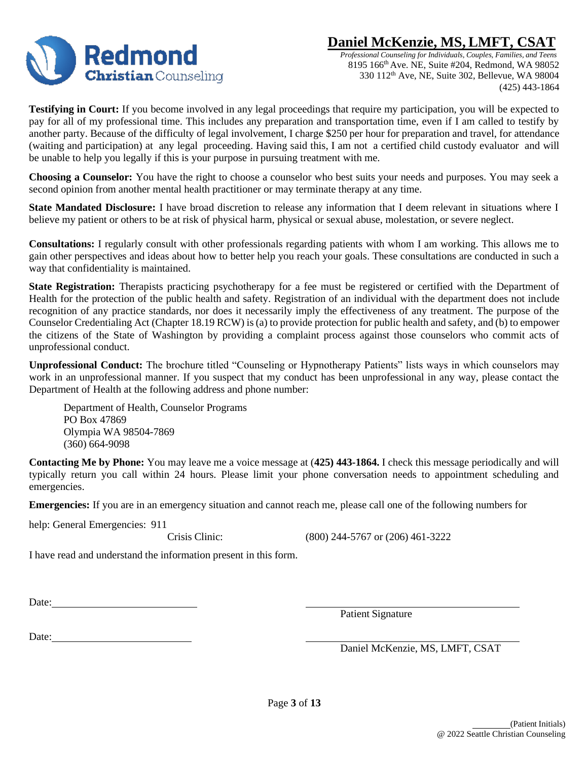

 *Professional Counseling for Individuals, Couples, Families, and Teens* 8195 166th Ave. NE, Suite #204, Redmond, WA 98052 330 112th Ave, NE, Suite 302, Bellevue, WA 98004 (425) 443-1864

**Testifying in Court:** If you become involved in any legal proceedings that require my participation, you will be expected to pay for all of my professional time. This includes any preparation and transportation time, even if I am called to testify by another party. Because of the difficulty of legal involvement, I charge \$250 per hour for preparation and travel, for attendance (waiting and participation) at any legal proceeding. Having said this, I am not a certified child custody evaluator and will be unable to help you legally if this is your purpose in pursuing treatment with me.

**Choosing a Counselor:** You have the right to choose a counselor who best suits your needs and purposes. You may seek a second opinion from another mental health practitioner or may terminate therapy at any time.

**State Mandated Disclosure:** I have broad discretion to release any information that I deem relevant in situations where I believe my patient or others to be at risk of physical harm, physical or sexual abuse, molestation, or severe neglect.

**Consultations:** I regularly consult with other professionals regarding patients with whom I am working. This allows me to gain other perspectives and ideas about how to better help you reach your goals. These consultations are conducted in such a way that confidentiality is maintained.

State Registration: Therapists practicing psychotherapy for a fee must be registered or certified with the Department of Health for the protection of the public health and safety. Registration of an individual with the department does not include recognition of any practice standards, nor does it necessarily imply the effectiveness of any treatment. The purpose of the Counselor Credentialing Act (Chapter 18.19 RCW) is(a) to provide protection for public health and safety, and (b) to empower the citizens of the State of Washington by providing a complaint process against those counselors who commit acts of unprofessional conduct.

**Unprofessional Conduct:** The brochure titled "Counseling or Hypnotherapy Patients" lists ways in which counselors may work in an unprofessional manner. If you suspect that my conduct has been unprofessional in any way, please contact the Department of Health at the following address and phone number:

Department of Health, Counselor Programs PO Box 47869 Olympia WA 98504-7869 (360) 664-9098

**Contacting Me by Phone:** You may leave me a voice message at (**425) 443-1864.** I check this message periodically and will typically return you call within 24 hours. Please limit your phone conversation needs to appointment scheduling and emergencies.

**Emergencies:** If you are in an emergency situation and cannot reach me, please call one of the following numbers for

help: General Emergencies: 911

Crisis Clinic: (800) 244-5767 or (206) 461-3222

I have read and understand the information present in this form.

Date: **Date: Date: Date: Date: Date: Date: Date: Date: Date: Date: Date: Date: Date: Date: Date: Date: Date: Date: Date: Date: Date: Date: Date: Date: Date: Date: Date:**

Patient Signature

Date:

Daniel McKenzie, MS, LMFT, CSAT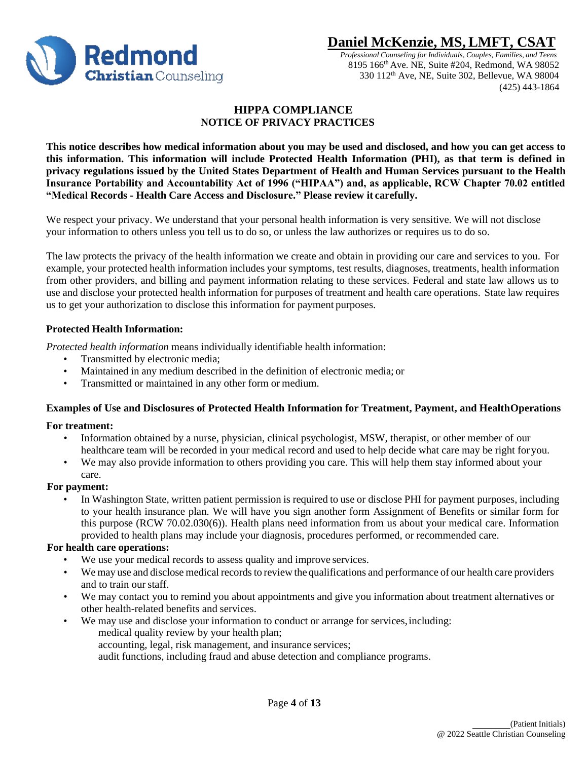

 *Professional Counseling for Individuals, Couples, Families, and Teens* 8195 166th Ave. NE, Suite #204, Redmond, WA 98052 330 112th Ave, NE, Suite 302, Bellevue, WA 98004 (425) 443-1864

### <span id="page-3-0"></span> **HIPPA COMPLIANCE NOTICE OF PRIVACY PRACTICES**

**This notice describes how medical information about you may be used and disclosed, and how you can get access to this information. This information will include Protected Health Information (PHI), as that term is defined in** privacy regulations issued by the United States Department of Health and Human Services pursuant to the Health **Insurance Portability and Accountability Act of 1996 ("HIPAA") and, as applicable, RCW Chapter 70.02 entitled "Medical Records - Health Care Access and Disclosure." Please review it carefully.**

We respect your privacy. We understand that your personal health information is very sensitive. We will not disclose your information to others unless you tell us to do so, or unless the law authorizes or requires us to do so.

The law protects the privacy of the health information we create and obtain in providing our care and services to you. For example, your protected health information includes your symptoms, test results, diagnoses, treatments, health information from other providers, and billing and payment information relating to these services. Federal and state law allows us to use and disclose your protected health information for purposes of treatment and health care operations. State law requires us to get your authorization to disclose this information for payment purposes.

### **Protected Health Information:**

*Protected health information* means individually identifiable health information:

- Transmitted by electronic media;
- Maintained in any medium described in the definition of electronic media; or
- Transmitted or maintained in any other form or medium.

### **Examples of Use and Disclosures of Protected Health Information for Treatment, Payment, and HealthOperations**

#### **For treatment:**

- Information obtained by a nurse, physician, clinical psychologist, MSW, therapist, or other member of our healthcare team will be recorded in your medical record and used to help decide what care may be right foryou.
- We may also provide information to others providing you care. This will help them stay informed about your care.

### **For payment:**

In Washington State, written patient permission is required to use or disclose PHI for payment purposes, including to your health insurance plan. We will have you sign another form Assignment of Benefits or similar form for this purpose (RCW 70.02.030(6)). Health plans need information from us about your medical care. Information provided to health plans may include your diagnosis, procedures performed, or recommended care.

#### **For health care operations:**

- We use your medical records to assess quality and improve services.
- We may use and disclose medical records to review the qualifications and performance of our health care providers and to train our staff.
- We may contact you to remind you about appointments and give you information about treatment alternatives or other health-related benefits and services.
- We may use and disclose your information to conduct or arrange for services,including: medical quality review by your health plan; accounting, legal, risk management, and insurance services; audit functions, including fraud and abuse detection and compliance programs.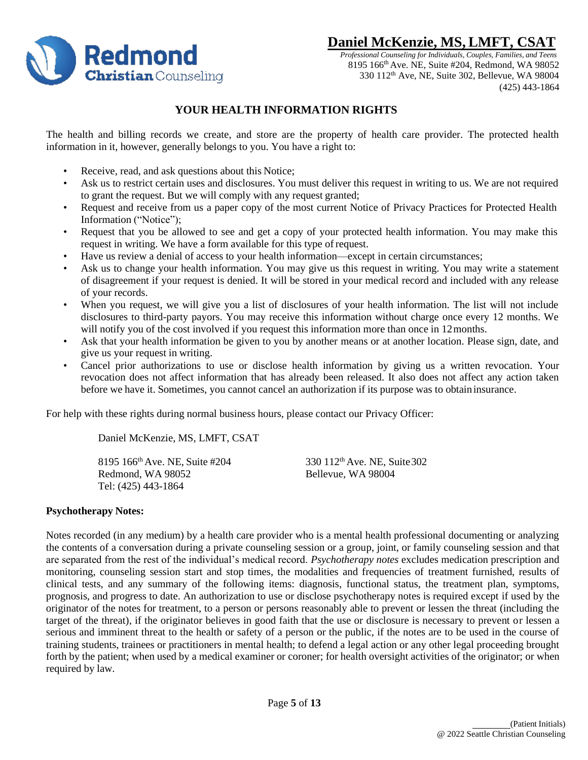

 *Professional Counseling for Individuals, Couples, Families, and Teens* 8195 166th Ave. NE, Suite #204, Redmond, WA 98052 330 112th Ave, NE, Suite 302, Bellevue, WA 98004 (425) 443-1864

### **YOUR HEALTH INFORMATION RIGHTS**

<span id="page-4-0"></span>The health and billing records we create, and store are the property of health care provider. The protected health information in it, however, generally belongs to you. You have a right to:

- Receive, read, and ask questions about this Notice;
- Ask us to restrict certain uses and disclosures. You must deliver this request in writing to us. We are not required to grant the request. But we will comply with any request granted;
- Request and receive from us a paper copy of the most current Notice of Privacy Practices for Protected Health Information ("Notice");
- Request that you be allowed to see and get a copy of your protected health information. You may make this request in writing. We have a form available for this type of request.
- Have us review a denial of access to your health information—except in certain circumstances;
- Ask us to change your health information. You may give us this request in writing. You may write a statement of disagreement if your request is denied. It will be stored in your medical record and included with any release of your records.
- When you request, we will give you a list of disclosures of your health information. The list will not include disclosures to third-party payors. You may receive this information without charge once every 12 months. We will notify you of the cost involved if you request this information more than once in 12 months.
- Ask that your health information be given to you by another means or at another location. Please sign, date, and give us your request in writing.
- Cancel prior authorizations to use or disclose health information by giving us a written revocation. Your revocation does not affect information that has already been released. It also does not affect any action taken before we have it. Sometimes, you cannot cancel an authorization if its purpose was to obtaininsurance.

For help with these rights during normal business hours, please contact our Privacy Officer:

Daniel McKenzie, MS, LMFT, CSAT

8195 166<sup>th</sup> Ave. NE, Suite #204 330 112<sup>th</sup> Ave. NE, Suite 302 Redmond, WA 98052 Bellevue, WA 98004 Tel: (425) 443-1864

### **Psychotherapy Notes:**

Notes recorded (in any medium) by a health care provider who is a mental health professional documenting or analyzing the contents of a conversation during a private counseling session or a group, joint, or family counseling session and that are separated from the rest of the individual's medical record. *Psychotherapy notes* excludes medication prescription and monitoring, counseling session start and stop times, the modalities and frequencies of treatment furnished, results of clinical tests, and any summary of the following items: diagnosis, functional status, the treatment plan, symptoms, prognosis, and progress to date. An authorization to use or disclose psychotherapy notes is required except if used by the originator of the notes for treatment, to a person or persons reasonably able to prevent or lessen the threat (including the target of the threat), if the originator believes in good faith that the use or disclosure is necessary to prevent or lessen a serious and imminent threat to the health or safety of a person or the public, if the notes are to be used in the course of training students, trainees or practitioners in mental health; to defend a legal action or any other legal proceeding brought forth by the patient; when used by a medical examiner or coroner; for health oversight activities of the originator; or when required by law.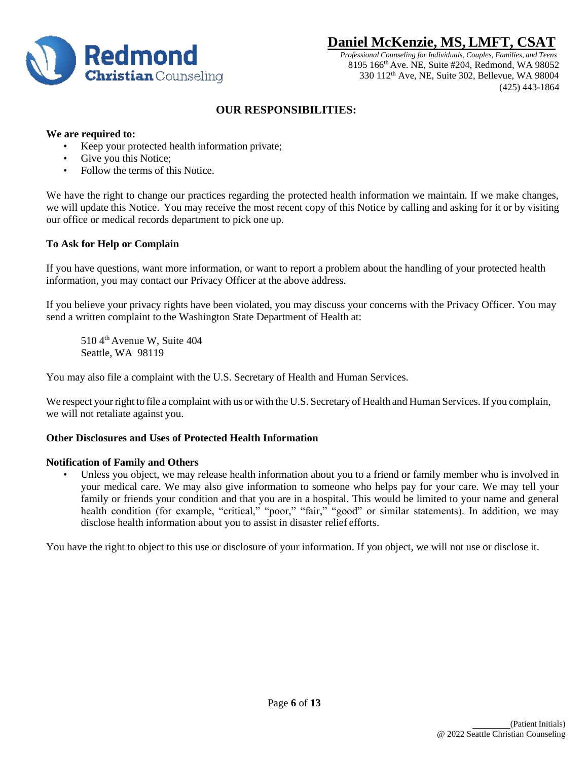

 *Professional Counseling for Individuals, Couples, Families, and Teens* 8195 166th Ave. NE, Suite #204, Redmond, WA 98052 330 112th Ave, NE, Suite 302, Bellevue, WA 98004 (425) 443-1864

### **OUR RESPONSIBILITIES:**

#### <span id="page-5-0"></span>**We are required to:**

- Keep your protected health information private;
- Give you this Notice;
- Follow the terms of this Notice.

We have the right to change our practices regarding the protected health information we maintain. If we make changes, we will update this Notice. You may receive the most recent copy of this Notice by calling and asking for it or by visiting our office or medical records department to pick one up.

### **To Ask for Help or Complain**

If you have questions, want more information, or want to report a problem about the handling of your protected health information, you may contact our Privacy Officer at the above address.

If you believe your privacy rights have been violated, you may discuss your concerns with the Privacy Officer. You may send a written complaint to the Washington State Department of Health at:

510 4<sup>th</sup> Avenue W, Suite 404 Seattle, WA 98119

You may also file a complaint with the U.S. Secretary of Health and Human Services.

We respect your right to file a complaint with us or with the U.S. Secretary of Health and Human Services. If you complain, we will not retaliate against you.

### **Other Disclosures and Uses of Protected Health Information**

#### **Notification of Family and Others**

Unless you object, we may release health information about you to a friend or family member who is involved in your medical care. We may also give information to someone who helps pay for your care. We may tell your family or friends your condition and that you are in a hospital. This would be limited to your name and general health condition (for example, "critical," "poor," "fair," "good" or similar statements). In addition, we may disclose health information about you to assist in disaster relief efforts.

You have the right to object to this use or disclosure of your information. If you object, we will not use or disclose it.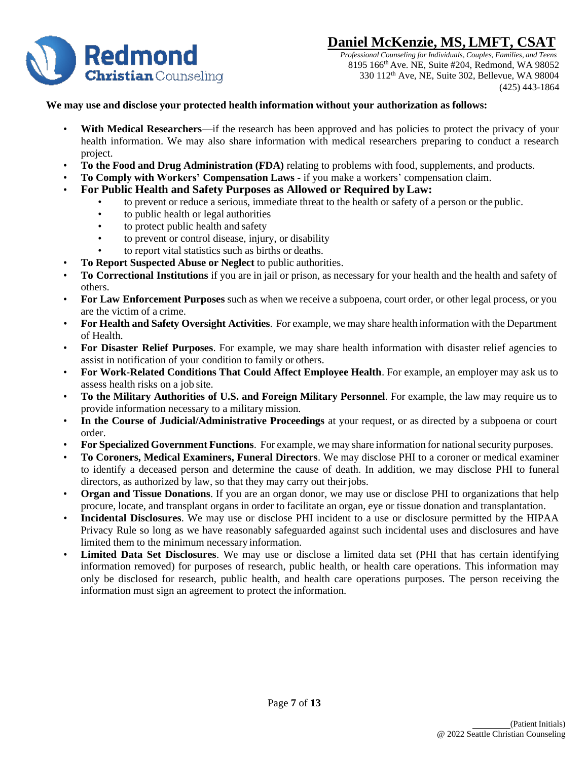

 *Professional Counseling for Individuals, Couples, Families, and Teens* 8195 166th Ave. NE, Suite #204, Redmond, WA 98052 330 112th Ave, NE, Suite 302, Bellevue, WA 98004 (425) 443-1864

### **We may use and disclose your protected health information without your authorization as follows:**

- **With Medical Researchers—if the research has been approved and has policies to protect the privacy of your** health information. We may also share information with medical researchers preparing to conduct a research project.
- **To the Food and Drug Administration (FDA)** relating to problems with food, supplements, and products.
- **To Comply with Workers' Compensation Laws -** if you make a workers' compensation claim.
- **For Public Health and Safety Purposes as Allowed or Required byLaw:**
	- to prevent or reduce a serious, immediate threat to the health or safety of a person or the public.
		- to public health or legal authorities
		- to protect public health and safety
		- to prevent or control disease, injury, or disability
		- to report vital statistics such as births or deaths.
- **To Report Suspected Abuse or Neglect** to public authorities.
- **To Correctional Institutions** if you are in jail or prison, as necessary for your health and the health and safety of others.
- **For Law Enforcement Purposes** such as when we receive a subpoena, court order, or other legal process, or you are the victim of a crime.
- **For Health and Safety Oversight Activities**. For example, we may share health information with the Department of Health.
- **For Disaster Relief Purposes**. For example, we may share health information with disaster relief agencies to assist in notification of your condition to family or others.
- **For Work-Related Conditions That Could Affect Employee Health**. For example, an employer may ask us to assess health risks on a job site.
- **To the Military Authorities of U.S. and Foreign Military Personnel**. For example, the law may require us to provide information necessary to a military mission.
- **In the Course of Judicial/Administrative Proceedings** at your request, or as directed by a subpoena or court order.
- **For Specialized Government Functions**. For example, we may share information for nationalsecurity purposes.
- **To Coroners, Medical Examiners, Funeral Directors**. We may disclose PHI to a coroner or medical examiner to identify a deceased person and determine the cause of death. In addition, we may disclose PHI to funeral directors, as authorized by law, so that they may carry out their jobs.
- **Organ and Tissue Donations**. If you are an organ donor, we may use or disclose PHI to organizations that help procure, locate, and transplant organs in order to facilitate an organ, eye or tissue donation and transplantation.
- **Incidental Disclosures**. We may use or disclose PHI incident to a use or disclosure permitted by the HIPAA Privacy Rule so long as we have reasonably safeguarded against such incidental uses and disclosures and have limited them to the minimum necessary information.
- **Limited Data Set Disclosures**. We may use or disclose a limited data set (PHI that has certain identifying information removed) for purposes of research, public health, or health care operations. This information may only be disclosed for research, public health, and health care operations purposes. The person receiving the information must sign an agreement to protect the information.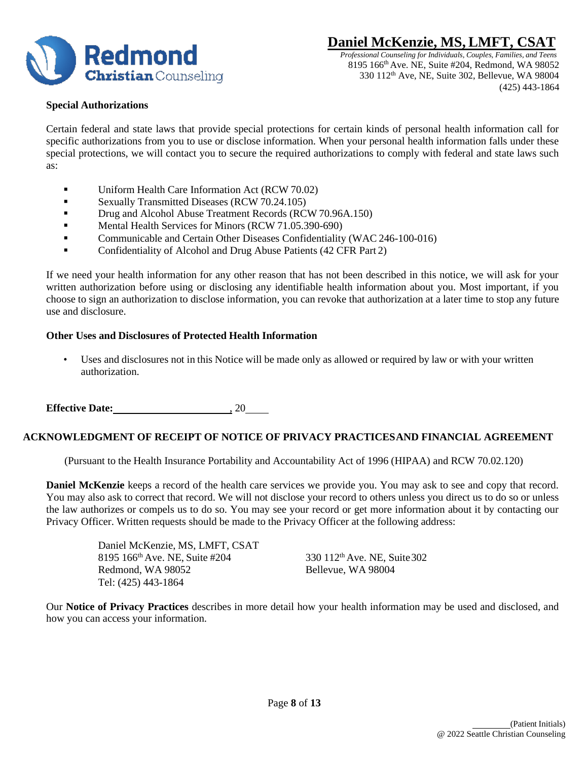

 *Professional Counseling for Individuals, Couples, Families, and Teens* 8195 166th Ave. NE, Suite #204, Redmond, WA 98052 330 112th Ave, NE, Suite 302, Bellevue, WA 98004 (425) 443-1864

#### **Special Authorizations**

Certain federal and state laws that provide special protections for certain kinds of personal health information call for specific authorizations from you to use or disclose information. When your personal health information falls under these special protections, we will contact you to secure the required authorizations to comply with federal and state laws such as:

- **•** Uniform Health Care Information Act (RCW 70.02)
- **•** Sexually Transmitted Diseases (RCW 70.24.105)
- Drug and Alcohol Abuse Treatment Records (RCW 70.96A.150)
- **E** Mental Health Services for Minors (RCW 71.05.390-690)
- **•** Communicable and Certain Other Diseases Confidentiality (WAC 246-100-016)
- Confidentiality of Alcohol and Drug Abuse Patients (42 CFR Part 2)

If we need your health information for any other reason that has not been described in this notice, we will ask for your written authorization before using or disclosing any identifiable health information about you. Most important, if you choose to sign an authorization to disclose information, you can revoke that authorization at a later time to stop any future use and disclosure.

### **Other Uses and Disclosures of Protected Health Information**

• Uses and disclosures not in this Notice will be made only as allowed or required by law or with your written authorization.

**Effective Date:** , 20

#### **ACKNOWLEDGMENT OF RECEIPT OF NOTICE OF PRIVACY PRACTICES AND FINANCIAL AGREEMENT**

(Pursuant to the Health Insurance Portability and Accountability Act of 1996 (HIPAA) and RCW 70.02.120)

**Daniel McKenzie** keeps a record of the health care services we provide you. You may ask to see and copy that record. You may also ask to correct that record. We will not disclose your record to others unless you direct us to do so or unless the law authorizes or compels us to do so. You may see your record or get more information about it by contacting our Privacy Officer. Written requests should be made to the Privacy Officer at the following address:

> Daniel McKenzie, MS, LMFT, CSAT 8195 166<sup>th</sup> Ave. NE, Suite #204 330 112<sup>th</sup> Ave. NE, Suite 302 Redmond, WA 98052 Bellevue, WA 98004 Tel: (425) 443-1864

Our **Notice of Privacy Practices** describes in more detail how your health information may be used and disclosed, and how you can access your information.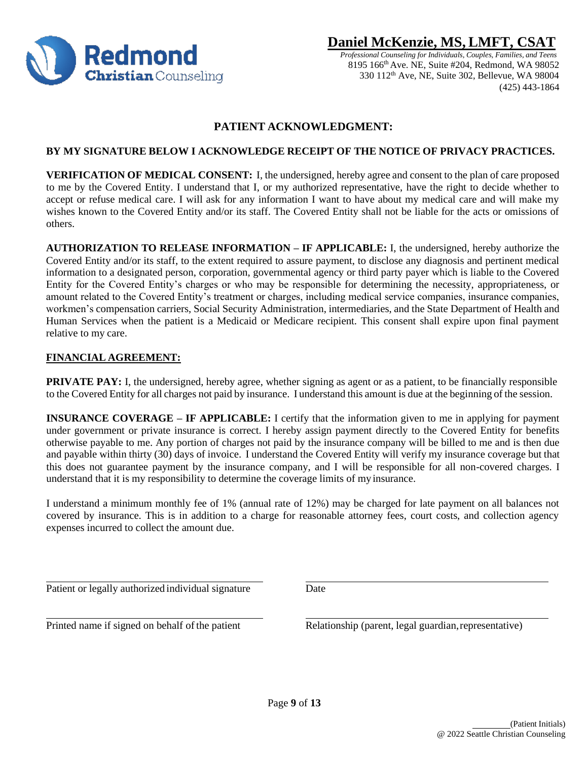

 *Professional Counseling for Individuals, Couples, Families, and Teens* 8195 166th Ave. NE, Suite #204, Redmond, WA 98052 330 112th Ave, NE, Suite 302, Bellevue, WA 98004 (425) 443-1864

## <span id="page-8-0"></span> **PATIENT ACKNOWLEDGMENT:**

### **BY MY SIGNATURE BELOW I ACKNOWLEDGE RECEIPT OF THE NOTICE OF PRIVACY PRACTICES.**

**VERIFICATION OF MEDICAL CONSENT:** I, the undersigned, hereby agree and consent to the plan of care proposed to me by the Covered Entity. I understand that I, or my authorized representative, have the right to decide whether to accept or refuse medical care. I will ask for any information I want to have about my medical care and will make my wishes known to the Covered Entity and/or its staff. The Covered Entity shall not be liable for the acts or omissions of others.

**AUTHORIZATION TO RELEASE INFORMATION – IF APPLICABLE:** I, the undersigned, hereby authorize the Covered Entity and/or its staff, to the extent required to assure payment, to disclose any diagnosis and pertinent medical information to a designated person, corporation, governmental agency or third party payer which is liable to the Covered Entity for the Covered Entity's charges or who may be responsible for determining the necessity, appropriateness, or amount related to the Covered Entity's treatment or charges, including medical service companies, insurance companies, workmen's compensation carriers, Social Security Administration, intermediaries, and the State Department of Health and Human Services when the patient is a Medicaid or Medicare recipient. This consent shall expire upon final payment relative to my care.

### **FINANCIAL AGREEMENT:**

**PRIVATE PAY:** I, the undersigned, hereby agree, whether signing as agent or as a patient, to be financially responsible to the Covered Entity for all charges not paid by insurance. I understand this amount is due at the beginning of the session.

**INSURANCE COVERAGE – IF APPLICABLE:** I certify that the information given to me in applying for payment under government or private insurance is correct. I hereby assign payment directly to the Covered Entity for benefits otherwise payable to me. Any portion of charges not paid by the insurance company will be billed to me and is then due and payable within thirty (30) days of invoice. I understand the Covered Entity will verify my insurance coverage but that this does not guarantee payment by the insurance company, and I will be responsible for all non-covered charges. I understand that it is my responsibility to determine the coverage limits of my insurance.

I understand a minimum monthly fee of 1% (annual rate of 12%) may be charged for late payment on all balances not covered by insurance. This is in addition to a charge for reasonable attorney fees, court costs, and collection agency expenses incurred to collect the amount due.

Patient or legally authorized individual signature Date

Printed name if signed on behalf of the patient Relationship (parent, legal guardian, representative)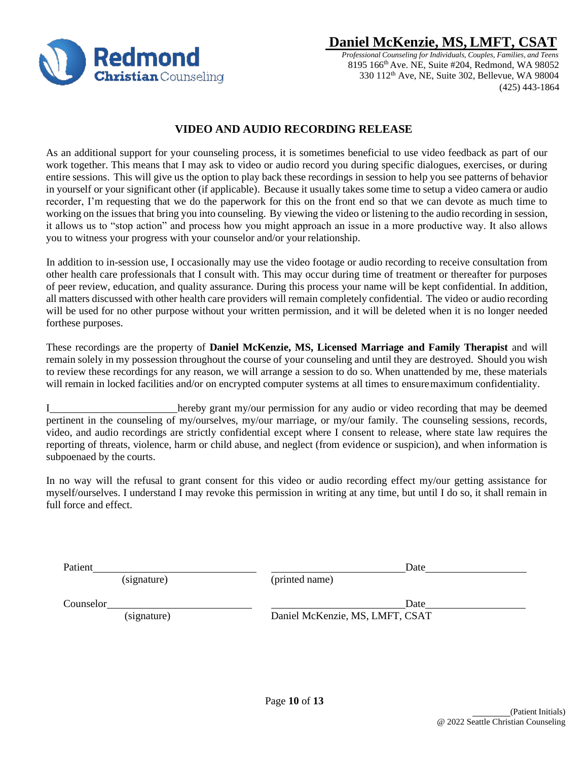

 *Professional Counseling for Individuals, Couples, Families, and Teens* 8195 166th Ave. NE, Suite #204, Redmond, WA 98052 330 112th Ave, NE, Suite 302, Bellevue, WA 98004 (425) 443-1864

### **VIDEO AND AUDIO RECORDING RELEASE**

<span id="page-9-0"></span>As an additional support for your counseling process, it is sometimes beneficial to use video feedback as part of our work together. This means that I may ask to video or audio record you during specific dialogues, exercises, or during entire sessions. This will give us the option to play back these recordings in session to help you see patterns of behavior in yourself or your significant other (if applicable). Because it usually takes some time to setup a video camera or audio recorder, I'm requesting that we do the paperwork for this on the front end so that we can devote as much time to working on the issues that bring you into counseling. By viewing the video or listening to the audio recording in session, it allows us to "stop action" and process how you might approach an issue in a more productive way. It also allows you to witness your progress with your counselor and/or your relationship.

In addition to in-session use, I occasionally may use the video footage or audio recording to receive consultation from other health care professionals that I consult with. This may occur during time of treatment or thereafter for purposes of peer review, education, and quality assurance. During this process your name will be kept confidential. In addition, all matters discussed with other health care providers will remain completely confidential. The video or audio recording will be used for no other purpose without your written permission, and it will be deleted when it is no longer needed forthese purposes.

These recordings are the property of **Daniel McKenzie, MS, Licensed Marriage and Family Therapist** and will remain solely in my possession throughout the course of your counseling and until they are destroyed. Should you wish to review these recordings for any reason, we will arrange a session to do so. When unattended by me, these materials will remain in locked facilities and/or on encrypted computer systems at all times to ensuremaximum confidentiality.

I hereby grant my/our permission for any audio or video recording that may be deemed pertinent in the counseling of my/ourselves, my/our marriage, or my/our family. The counseling sessions, records, video, and audio recordings are strictly confidential except where I consent to release, where state law requires the reporting of threats, violence, harm or child abuse, and neglect (from evidence or suspicion), and when information is subpoenaed by the courts.

In no way will the refusal to grant consent for this video or audio recording effect my/our getting assistance for myself/ourselves. I understand I may revoke this permission in writing at any time, but until I do so, it shall remain in full force and effect.

Patient Date

(signature) (printed name)

**Counselor** Date **Date** 

(signature) Daniel McKenzie, MS, LMFT, CSAT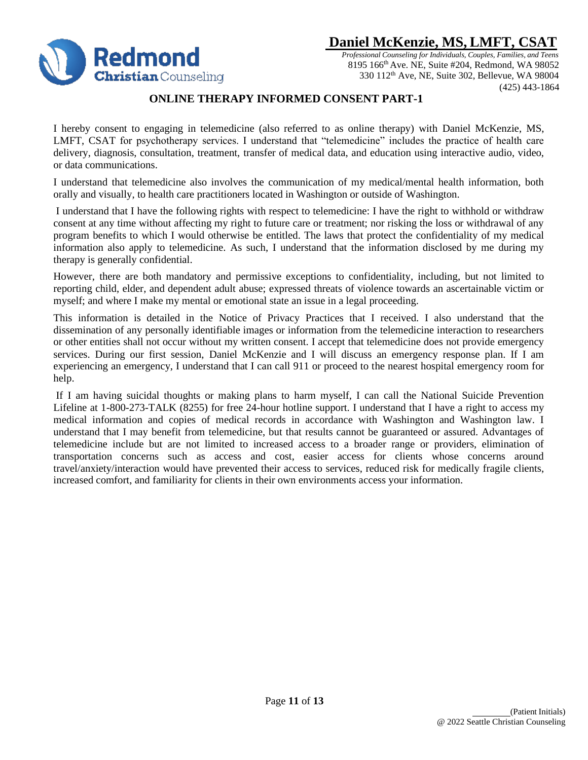

 *Professional Counseling for Individuals, Couples, Families, and Teens* 8195 166th Ave. NE, Suite #204, Redmond, WA 98052 330 112th Ave, NE, Suite 302, Bellevue, WA 98004 (425) 443-1864

### **ONLINE THERAPY INFORMED CONSENT PART-1**

<span id="page-10-0"></span>I hereby consent to engaging in telemedicine (also referred to as online therapy) with Daniel McKenzie, MS, LMFT, CSAT for psychotherapy services. I understand that "telemedicine" includes the practice of health care delivery, diagnosis, consultation, treatment, transfer of medical data, and education using interactive audio, video, or data communications.

I understand that telemedicine also involves the communication of my medical/mental health information, both orally and visually, to health care practitioners located in Washington or outside of Washington.

I understand that I have the following rights with respect to telemedicine: I have the right to withhold or withdraw consent at any time without affecting my right to future care or treatment; nor risking the loss or withdrawal of any program benefits to which I would otherwise be entitled. The laws that protect the confidentiality of my medical information also apply to telemedicine. As such, I understand that the information disclosed by me during my therapy is generally confidential.

However, there are both mandatory and permissive exceptions to confidentiality, including, but not limited to reporting child, elder, and dependent adult abuse; expressed threats of violence towards an ascertainable victim or myself; and where I make my mental or emotional state an issue in a legal proceeding.

This information is detailed in the Notice of Privacy Practices that I received. I also understand that the dissemination of any personally identifiable images or information from the telemedicine interaction to researchers or other entities shall not occur without my written consent. I accept that telemedicine does not provide emergency services. During our first session, Daniel McKenzie and I will discuss an emergency response plan. If I am experiencing an emergency, I understand that I can call 911 or proceed to the nearest hospital emergency room for help.

If I am having suicidal thoughts or making plans to harm myself, I can call the National Suicide Prevention Lifeline at 1-800-273-TALK (8255) for free 24-hour hotline support. I understand that I have a right to access my medical information and copies of medical records in accordance with Washington and Washington law. I understand that I may benefit from telemedicine, but that results cannot be guaranteed or assured. Advantages of telemedicine include but are not limited to increased access to a broader range or providers, elimination of transportation concerns such as access and cost, easier access for clients whose concerns around travel/anxiety/interaction would have prevented their access to services, reduced risk for medically fragile clients, increased comfort, and familiarity for clients in their own environments access your information.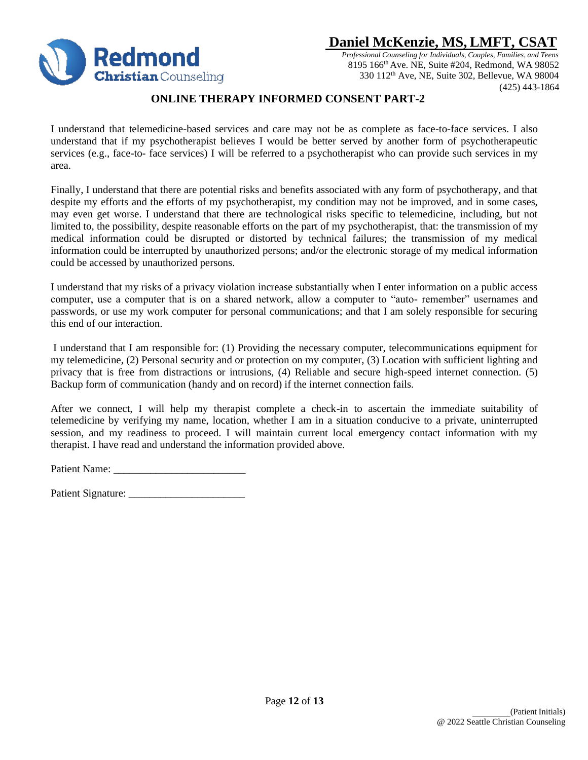

 *Professional Counseling for Individuals, Couples, Families, and Teens* 8195 166th Ave. NE, Suite #204, Redmond, WA 98052 330 112th Ave, NE, Suite 302, Bellevue, WA 98004 (425) 443-1864

### <span id="page-11-0"></span> **ONLINE THERAPY INFORMED CONSENT PART-2**

I understand that telemedicine-based services and care may not be as complete as face-to-face services. I also understand that if my psychotherapist believes I would be better served by another form of psychotherapeutic services (e.g., face-to- face services) I will be referred to a psychotherapist who can provide such services in my area.

Finally, I understand that there are potential risks and benefits associated with any form of psychotherapy, and that despite my efforts and the efforts of my psychotherapist, my condition may not be improved, and in some cases, may even get worse. I understand that there are technological risks specific to telemedicine, including, but not limited to, the possibility, despite reasonable efforts on the part of my psychotherapist, that: the transmission of my medical information could be disrupted or distorted by technical failures; the transmission of my medical information could be interrupted by unauthorized persons; and/or the electronic storage of my medical information could be accessed by unauthorized persons.

I understand that my risks of a privacy violation increase substantially when I enter information on a public access computer, use a computer that is on a shared network, allow a computer to "auto- remember" usernames and passwords, or use my work computer for personal communications; and that I am solely responsible for securing this end of our interaction.

I understand that I am responsible for: (1) Providing the necessary computer, telecommunications equipment for my telemedicine, (2) Personal security and or protection on my computer, (3) Location with sufficient lighting and privacy that is free from distractions or intrusions, (4) Reliable and secure high-speed internet connection. (5) Backup form of communication (handy and on record) if the internet connection fails.

After we connect, I will help my therapist complete a check-in to ascertain the immediate suitability of telemedicine by verifying my name, location, whether I am in a situation conducive to a private, uninterrupted session, and my readiness to proceed. I will maintain current local emergency contact information with my therapist. I have read and understand the information provided above.

Patient Name: \_\_\_\_\_\_\_\_\_\_\_\_\_\_\_\_\_\_\_\_\_\_\_\_\_

Patient Signature: \_\_\_\_\_\_\_\_\_\_\_\_\_\_\_\_\_\_\_\_\_\_